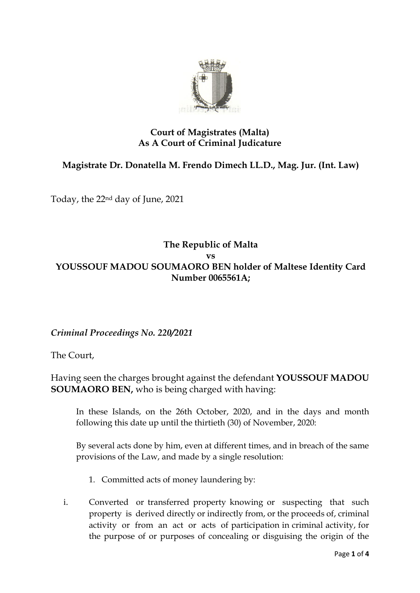

## **Court of Magistrates (Malta) As A Court of Criminal Judicature**

## **Magistrate Dr. Donatella M. Frendo Dimech LL.D., Mag. Jur. (Int. Law)**

Today, the 22nd day of June, 2021

## **The Republic of Malta vs YOUSSOUF MADOU SOUMAORO BEN holder of Maltese Identity Card Number 0065561A;**

*Criminal Proceedings No. 220/2021*

The Court,

Having seen the charges brought against the defendant **YOUSSOUF MADOU SOUMAORO BEN,** who is being charged with having:

In these Islands, on the 26th October, 2020, and in the days and month following this date up until the thirtieth (30) of November, 2020:

By several acts done by him, even at different times, and in breach of the same provisions of the Law, and made by a single resolution:

- 1. Committed acts of money laundering by:
- i. Converted or transferred property knowing or suspecting that such property is derived directly or indirectly from, or the proceeds of, criminal activity or from an act or acts of participation in criminal activity, for the purpose of or purposes of concealing or disguising the origin of the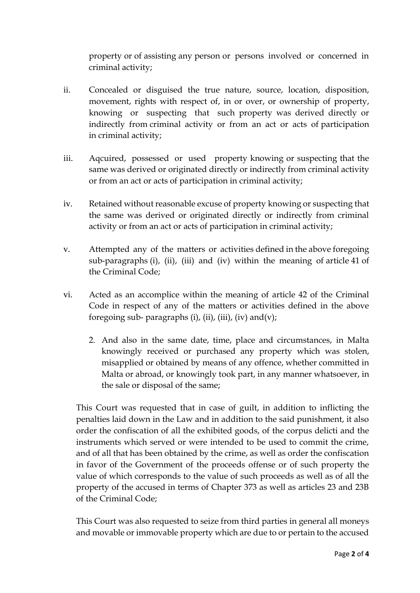property or of assisting any person or persons involved or concerned in criminal activity;

- ii. Concealed or disguised the true nature, source, location, disposition, movement, rights with respect of, in or over, or ownership of property, knowing or suspecting that such property was derived directly or indirectly from criminal activity or from an act or acts of participation in criminal activity;
- iii. Aqcuired, possessed or used property knowing or suspecting that the same was derived or originated directly or indirectly from criminal activity or from an act or acts of participation in criminal activity;
- iv. Retained without reasonable excuse of property knowing or suspecting that the same was derived or originated directly or indirectly from criminal activity or from an act or acts of participation in criminal activity;
- v. Attempted any of the matters or activities defined in the above foregoing sub-paragraphs (i), (ii), (iii) and (iv) within the meaning of article 41 of the Criminal Code;
- vi. Acted as an accomplice within the meaning of article 42 of the Criminal Code in respect of any of the matters or activities defined in the above foregoing sub- paragraphs (i), (ii), (iii), (iv) and(v);
	- 2. And also in the same date, time, place and circumstances, in Malta knowingly received or purchased any property which was stolen, misapplied or obtained by means of any offence, whether committed in Malta or abroad, or knowingly took part, in any manner whatsoever, in the sale or disposal of the same;

This Court was requested that in case of guilt, in addition to inflicting the penalties laid down in the Law and in addition to the said punishment, it also order the confiscation of all the exhibited goods, of the corpus delicti and the instruments which served or were intended to be used to commit the crime, and of all that has been obtained by the crime, as well as order the confiscation in favor of the Government of the proceeds offense or of such property the value of which corresponds to the value of such proceeds as well as of all the property of the accused in terms of Chapter 373 as well as articles 23 and 23B of the Criminal Code;

This Court was also requested to seize from third parties in general all moneys and movable or immovable property which are due to or pertain to the accused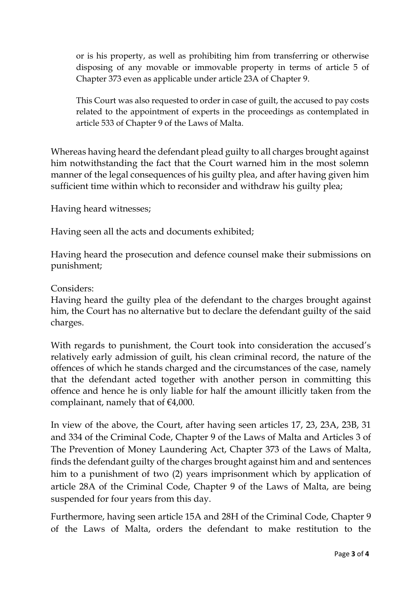or is his property, as well as prohibiting him from transferring or otherwise disposing of any movable or immovable property in terms of article 5 of Chapter 373 even as applicable under article 23A of Chapter 9.

This Court was also requested to order in case of guilt, the accused to pay costs related to the appointment of experts in the proceedings as contemplated in article 533 of Chapter 9 of the Laws of Malta.

Whereas having heard the defendant plead guilty to all charges brought against him notwithstanding the fact that the Court warned him in the most solemn manner of the legal consequences of his guilty plea, and after having given him sufficient time within which to reconsider and withdraw his guilty plea;

Having heard witnesses;

Having seen all the acts and documents exhibited;

Having heard the prosecution and defence counsel make their submissions on punishment;

Considers:

Having heard the guilty plea of the defendant to the charges brought against him, the Court has no alternative but to declare the defendant guilty of the said charges.

With regards to punishment, the Court took into consideration the accused's relatively early admission of guilt, his clean criminal record, the nature of the offences of which he stands charged and the circumstances of the case, namely that the defendant acted together with another person in committing this offence and hence he is only liable for half the amount illicitly taken from the complainant, namely that of  $\epsilon$ 4,000.

In view of the above, the Court, after having seen articles 17, 23, 23A, 23B, 31 and 334 of the Criminal Code, Chapter 9 of the Laws of Malta and Articles 3 of The Prevention of Money Laundering Act, Chapter 373 of the Laws of Malta, finds the defendant guilty of the charges brought against him and and sentences him to a punishment of two (2) years imprisonment which by application of article 28A of the Criminal Code, Chapter 9 of the Laws of Malta, are being suspended for four years from this day.

Furthermore, having seen article 15A and 28H of the Criminal Code, Chapter 9 of the Laws of Malta, orders the defendant to make restitution to the